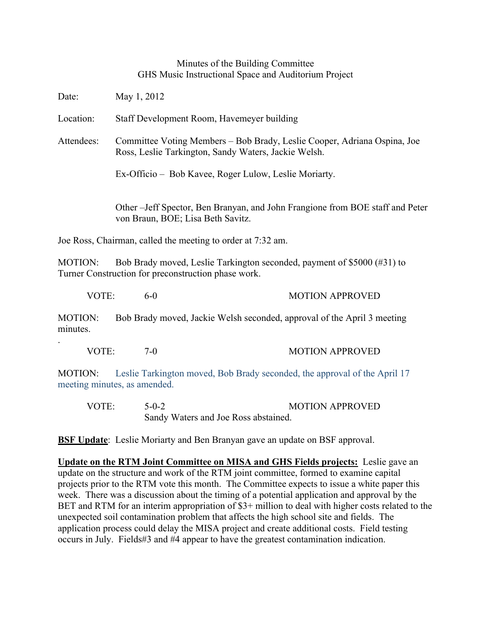## Minutes of the Building Committee GHS Music Instructional Space and Auditorium Project

Date: May 1, 2012 Location: Staff Development Room, Havemeyer building Attendees: Committee Voting Members – Bob Brady, Leslie Cooper, Adriana Ospina, Joe Ross, Leslie Tarkington, Sandy Waters, Jackie Welsh. Ex-Officio – Bob Kavee, Roger Lulow, Leslie Moriarty. Other –Jeff Spector, Ben Branyan, and John Frangione from BOE staff and Peter von Braun, BOE; Lisa Beth Savitz.

Joe Ross, Chairman, called the meeting to order at 7:32 am.

.

MOTION: Bob Brady moved, Leslie Tarkington seconded, payment of \$5000 (#31) to Turner Construction for preconstruction phase work.

| VOTE: | 6-0 | <b>MOTION APPROVED</b> |
|-------|-----|------------------------|
|       |     |                        |

MOTION: Bob Brady moved, Jackie Welsh seconded, approval of the April 3 meeting minutes.

| VOTE: | $-0$ | <b>MOTION APPROVED</b> |
|-------|------|------------------------|
|       |      |                        |

MOTION: Leslie Tarkington moved, Bob Brady seconded, the approval of the April 17 meeting minutes, as amended.

| VOTE: | $5-0-2$                              | <b>MOTION APPROVED</b> |  |
|-------|--------------------------------------|------------------------|--|
|       | Sandy Waters and Joe Ross abstained. |                        |  |

**BSF Update**: Leslie Moriarty and Ben Branyan gave an update on BSF approval.

**Update on the RTM Joint Committee on MISA and GHS Fields projects:** Leslie gave an update on the structure and work of the RTM joint committee, formed to examine capital projects prior to the RTM vote this month. The Committee expects to issue a white paper this week. There was a discussion about the timing of a potential application and approval by the BET and RTM for an interim appropriation of \$3+ million to deal with higher costs related to the unexpected soil contamination problem that affects the high school site and fields. The application process could delay the MISA project and create additional costs. Field testing occurs in July. Fields#3 and #4 appear to have the greatest contamination indication.